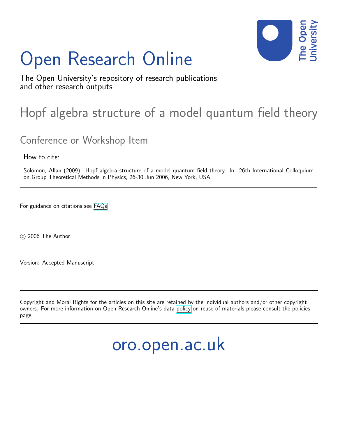# Open Research Online



The Open University's repository of research publications and other research outputs

## Hopf algebra structure of a model quantum field theory

### Conference or Workshop Item

How to cite:

Solomon, Allan (2009). Hopf algebra structure of a model quantum field theory. In: 26th International Colloquium on Group Theoretical Methods in Physics, 26-30 Jun 2006, New York, USA.

For guidance on citations see [FAQs.](http://oro.open.ac.uk/help/helpfaq.html)

c 2006 The Author

Version: Accepted Manuscript

Copyright and Moral Rights for the articles on this site are retained by the individual authors and/or other copyright owners. For more information on Open Research Online's data [policy](http://oro.open.ac.uk/policies.html) on reuse of materials please consult the policies page.

oro.open.ac.uk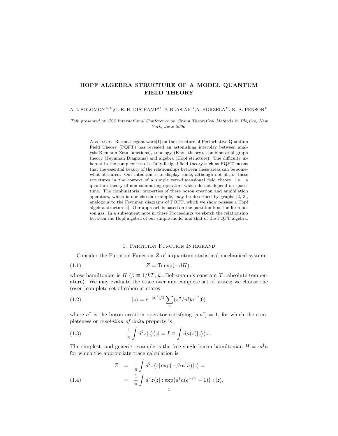#### HOPF ALGEBRA STRUCTURE OF A MODEL QUANTUM FIELD THEORY

A. I. SOLOMON<sup>A,B</sup>,G. E. H. DUCHAMP<sup>C</sup>, P. BLASIAK<sup>D</sup>,A. HORZELA<sup>D</sup>, K. A. PENSON<sup>B</sup>

Talk presented at G26 International Conference on Group Theoretical Methods in Physics, New York, June 2006.

ABSTRACT. Recent elegant work[1] on the structure of Perturbative Quantum Field Theory (PQFT) has revealed an astonishing interplay between analysis(Riemann Zeta functions), topology (Knot theory), combinatorial graph theory (Feynman Diagrams) and algebra (Hopf structure). The difficulty inherent in the complexities of a fully-fledged field theory such as PQFT means that the essential beauty of the relationships between these areas can be somewhat obscured. Our intention is to display some, although not all, of these structures in the context of a simple zero-dimensional field theory; i.e. a quantum theory of non-commuting operators which do not depend on spacetime. The combinatorial properties of these boson creation and annihilation operators, which is our chosen example, may be described by graphs [2, 3], analogous to the Feynman diagrams of PQFT, which we show possess a Hopf algebra structure[4]. Our approach is based on the partition function for a boson gas. In a subsequent note in these Proceedings we sketch the relationship between the Hopf algebra of our simple model and that of the PQFT algebra.

#### 1. Partition Function Integrand

Consider the Partition Function  $Z$  of a quantum statistical mechanical system

$$
(1.1) \t\t Z = \text{Tr} \exp(-\beta H).
$$

whose hamiltonian is  $H$  ( $\beta \equiv 1/kT$ , k=Boltzmann's constant T=absolute temperature). We may evaluate the trace over any complete set of states; we choose the (over-)complete set of coherent states

(1.2) 
$$
|z\rangle = e^{-|z|^2|/2} \sum_{n} (z^n/n!) a^{\dagger}{}^n |0\rangle
$$

where  $a^{\dagger}$  is the boson creation operator satisfying  $[a.a^{\dagger}] = 1$ , for which the completeness or resolution of unity property is

(1.3) 
$$
\frac{1}{\pi} \int d^2 z |z\rangle\langle z| = I \equiv \int d\mu(z) |z\rangle\langle z|.
$$

The simplest, and generic, example is the free single-boson hamiltonian  $H = \epsilon a^{\dagger} a$ for which the appropriate trace calculation is

(1.4) 
$$
Z = \frac{1}{\pi} \int d^2 z \langle z | \exp(-\beta \epsilon a^{\dagger} a) | z \rangle =
$$

$$
= \frac{1}{\pi} \int d^2 z \langle z | \exp(a^{\dagger} a (e^{-\beta \epsilon} - 1)) : | z \rangle.
$$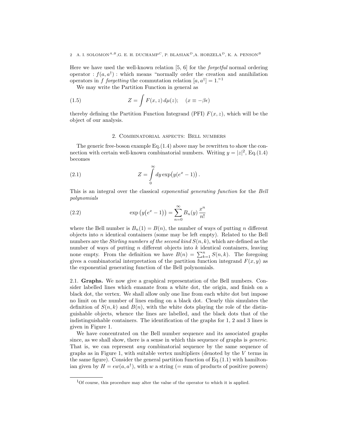#### 2 A. I. SOLOMON<sup>A,B</sup>,G. E. H. DUCHAMP<sup>C</sup>, P. BLASIAK<sup>D</sup>,A. HORZELA<sup>D</sup>, K. A. PENSON<sup>B</sup>

Here we have used the well-known relation [5, 6] for the forgetful normal ordering operator :  $f(a, a^{\dagger})$ : which means "normally order the creation and annihilation operators in f forgetting the commutation relation  $[a, a^{\dagger}] = 1$ ."

We may write the Partition Function in general as

(1.5) 
$$
Z = \int F(x, z) d\mu(z); \quad (x \equiv -\beta \epsilon)
$$

thereby defining the Partition Function Integrand (PFI)  $F(x, z)$ , which will be the object of our analysis.

#### 2. Combinatorial aspects: Bell numbers

The generic free-boson example  $Eq.(1.4)$  above may be rewritten to show the connection with certain well-known combinatorial numbers. Writing  $y = |z|^2$ , Eq.(1.4) becomes

(2.1) 
$$
Z = \int_{0}^{\infty} dy \exp(y(e^x - 1)).
$$

This is an integral over the classical exponential generating function for the Bell polynomials

(2.2) 
$$
\exp(y(e^x - 1)) = \sum_{n=0}^{\infty} B_n(y) \frac{x^n}{n!}
$$

where the Bell number is  $B_n(1) = B(n)$ , the number of ways of putting n different objects into  $n$  identical containers (some may be left empty). Related to the Bell numbers are the Stirling numbers of the second kind  $S(n, k)$ , which are defined as the number of ways of putting  $n$  different objects into  $k$  identical containers, leaving number of ways of putting *n* different objects into *k* identical containers, leaving<br>none empty. From the definition we have  $B(n) = \sum_{k=1}^{n} S(n, k)$ . The foregoing gives a combinatorial interpretation of the partition function integrand  $F(x, y)$  as the exponential generating function of the Bell polynomials.

2.1. Graphs. We now give a graphical representation of the Bell numbers. Consider labelled lines which emanate from a white dot, the origin, and finish on a black dot, the vertex. We shall allow only one line from each white dot but impose no limit on the number of lines ending on a black dot. Clearly this simulates the definition of  $S(n, k)$  and  $B(n)$ , with the white dots playing the role of the distinguishable objects, whence the lines are labelled, and the black dots that of the indistinguishable containers. The identification of the graphs for 1, 2 and 3 lines is given in Figure 1.

We have concentrated on the Bell number sequence and its associated graphs since, as we shall show, there is a sense in which this sequence of graphs is *generic*. That is, we can represent any combinatorial sequence by the same sequence of graphs as in Figure 1, with suitable vertex multipliers (denoted by the  $V$  terms in the same figure). Consider the general partition function of  $Eq.(1.1)$  with hamiltonian given by  $H = \epsilon w(a, a^{\dagger})$ , with w a string (= sum of products of positive powers)

 $1$ Of course, this procedure may alter the value of the operator to which it is applied.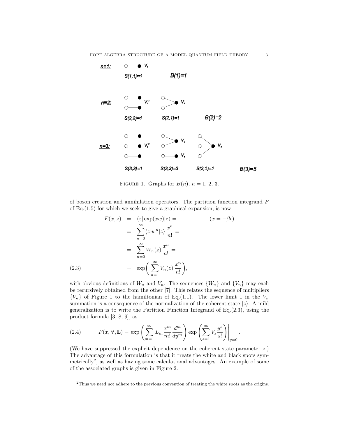

FIGURE 1. Graphs for  $B(n)$ ,  $n = 1, 2, 3$ .

of boson creation and annihilation operators. The partition function integrand  $F$ of Eq.(1.5) for which we seek to give a graphical expansion, is now

$$
F(x, z) = \langle z | \exp(xw) | z \rangle = \qquad (x = -\beta \epsilon)
$$
  

$$
= \sum_{n=0}^{\infty} \langle z | w^n | z \rangle \frac{x^n}{n!} =
$$
  

$$
= \sum_{n=0}^{\infty} W_n(z) \frac{x^n}{n!} =
$$
  
(2.3)  

$$
= \exp\left(\sum_{n=1}^{\infty} V_n(z) \frac{x^n}{n!}\right),
$$

with obvious definitions of  $W_n$  and  $V_n$ . The sequences  $\{W_n\}$  and  $\{V_n\}$  may each be recursively obtained from the other [7]. This relates the sequence of multipliers  ${V_n}$  of Figure 1 to the hamiltonian of Eq.(1.1). The lower limit 1 in the  $V_n$ summation is a consequence of the normalization of the coherent state  $|z\rangle$ . A mild generalization is to write the Partition Function Integrand of Eq.(2.3), using the product formula [3, 8, 9], as

(2.4) 
$$
F(x, \mathbb{V}, \mathbb{L}) = \exp\left(\sum_{m=1}^{\infty} L_m \frac{x^m}{m!} \frac{d^m}{dy^m}\right) \exp\left(\sum_{s=1}^{\infty} V_s \frac{y^s}{s!}\right)\Big|_{y=0}.
$$

(We have suppressed the explicit dependence on the coherent state parameter z.) The advantage of this formulation is that it treats the white and black spots symmetrically<sup>2</sup>, as well as having some calculational advantages. An example of some of the associated graphs is given in Figure 2.

<sup>&</sup>lt;sup>2</sup>Thus we need not adhere to the previous convention of treating the white spots as the origins.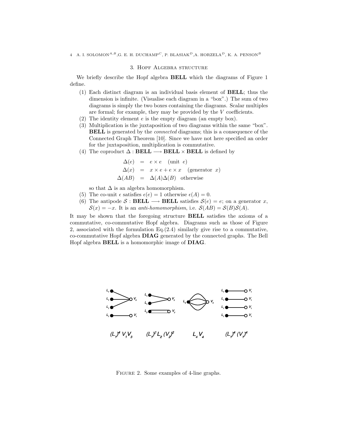#### 3. Hopf Algebra structure

We briefly describe the Hopf algebra BELL which the diagrams of Figure 1 define.

- (1) Each distinct diagram is an individual basis element of BELL; thus the dimension is infinite. (Visualise each diagram in a "box".) The sum of two diagrams is simply the two boxes containing the diagrams. Scalar multiples are formal; for example, they may be provided by the  $V$  coefficients.
- (2) The identity element e is the empty diagram (an empty box).
- (3) Multiplication is the juxtaposition of two diagrams within the same "box". **BELL** is generated by the *connected* diagrams; this is a consequence of the Connected Graph Theorem [10]. Since we have not here specified an order for the juxtaposition, multiplication is commutative.
- (4) The coproduct  $\Delta : \textbf{BEL} \longrightarrow \textbf{BEL} \times \textbf{BEL}$  is defined by

$$
\Delta(e) = e \times e \quad \text{(unit } e)
$$
  
\n
$$
\Delta(x) = x \times e + e \times x \quad \text{(generator } x)
$$
  
\n
$$
\Delta(AB) = \Delta(A)\Delta(B) \quad \text{otherwise}
$$

so that  $\Delta$  is an algebra homomorphism.

- (5) The co-unit  $\epsilon$  satisfies  $\epsilon(e) = 1$  otherwise  $\epsilon(A) = 0$ .
- (6) The antipode  $S : \textbf{BEL} \longrightarrow \textbf{BEL}$  satisfies  $S(e) = e$ ; on a generator x,  $S(x) = -x$ . It is an anti-homomorphism, i.e.  $S(AB) = S(B)S(A)$ .

It may be shown that the foregoing structure BELL satisfies the axioms of a commutative, co-commutative Hopf algebra. Diagrams such as those of Figure 2, associated with the formulation Eq.(2.4) similarly give rise to a commutative, co-commutative Hopf algebra DIAG generated by the connected graphs. The Bell Hopf algebra BELL is a homomorphic image of DIAG.



FIGURE 2. Some examples of 4-line graphs.